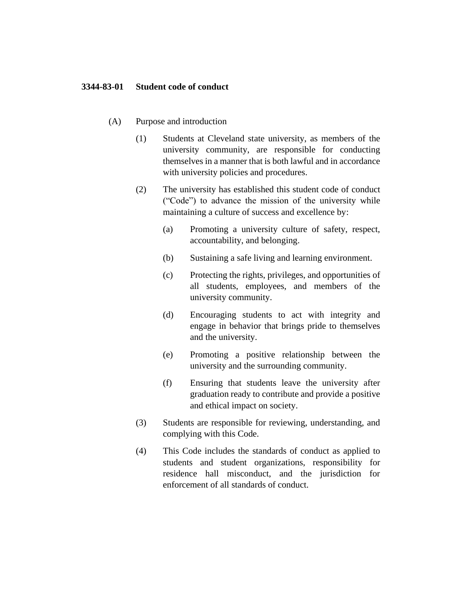## **3344-83-01 Student code of conduct**

- (A) Purpose and introduction
	- (1) Students at Cleveland state university, as members of the university community, are responsible for conducting themselves in a manner that is both lawful and in accordance with university policies and procedures.
	- (2) The university has established this student code of conduct ("Code") to advance the mission of the university while maintaining a culture of success and excellence by:
		- (a) Promoting a university culture of safety, respect, accountability, and belonging.
		- (b) Sustaining a safe living and learning environment.
		- (c) Protecting the rights, privileges, and opportunities of all students, employees, and members of the university community.
		- (d) Encouraging students to act with integrity and engage in behavior that brings pride to themselves and the university.
		- (e) Promoting a positive relationship between the university and the surrounding community.
		- (f) Ensuring that students leave the university after graduation ready to contribute and provide a positive and ethical impact on society.
	- (3) Students are responsible for reviewing, understanding, and complying with this Code.
	- (4) This Code includes the standards of conduct as applied to students and student organizations, responsibility for residence hall misconduct, and the jurisdiction for enforcement of all standards of conduct.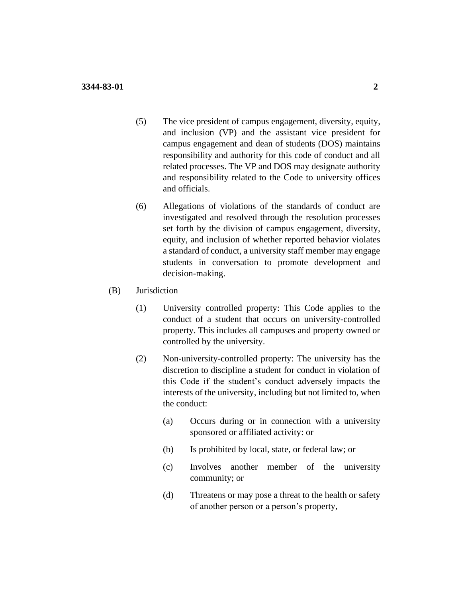- (5) The vice president of campus engagement, diversity, equity, and inclusion (VP) and the assistant vice president for campus engagement and dean of students (DOS) maintains responsibility and authority for this code of conduct and all related processes. The VP and DOS may designate authority and responsibility related to the Code to university offices and officials.
- (6) Allegations of violations of the standards of conduct are investigated and resolved through the resolution processes set forth by the division of campus engagement, diversity, equity, and inclusion of whether reported behavior violates a standard of conduct, a university staff member may engage students in conversation to promote development and decision-making.
- (B) Jurisdiction
	- (1) University controlled property: This Code applies to the conduct of a student that occurs on university-controlled property. This includes all campuses and property owned or controlled by the university.
	- (2) Non-university-controlled property: The university has the discretion to discipline a student for conduct in violation of this Code if the student's conduct adversely impacts the interests of the university, including but not limited to, when the conduct:
		- (a) Occurs during or in connection with a university sponsored or affiliated activity: or
		- (b) Is prohibited by local, state, or federal law; or
		- (c) Involves another member of the university community; or
		- (d) Threatens or may pose a threat to the health or safety of another person or a person's property,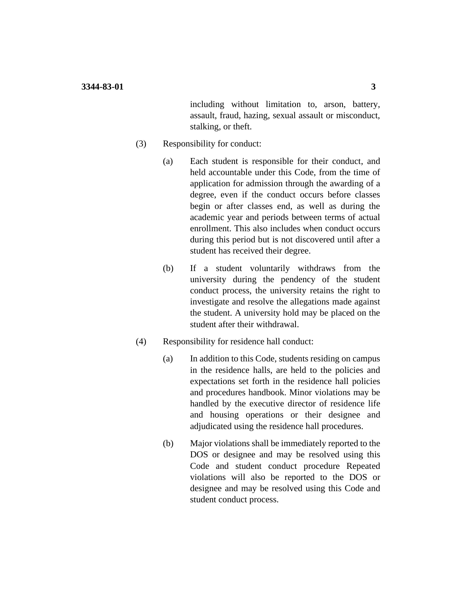including without limitation to, arson, battery, assault, fraud, hazing, sexual assault or misconduct, stalking, or theft.

- (3) Responsibility for conduct:
	- (a) Each student is responsible for their conduct, and held accountable under this Code, from the time of application for admission through the awarding of a degree, even if the conduct occurs before classes begin or after classes end, as well as during the academic year and periods between terms of actual enrollment. This also includes when conduct occurs during this period but is not discovered until after a student has received their degree.
	- (b) If a student voluntarily withdraws from the university during the pendency of the student conduct process, the university retains the right to investigate and resolve the allegations made against the student. A university hold may be placed on the student after their withdrawal.
- (4) Responsibility for residence hall conduct:
	- (a) In addition to this Code, students residing on campus in the residence halls, are held to the policies and expectations set forth in the residence hall policies and procedures handbook. Minor violations may be handled by the executive director of residence life and housing operations or their designee and adjudicated using the residence hall procedures.
	- (b) Major violations shall be immediately reported to the DOS or designee and may be resolved using this Code and student conduct procedure Repeated violations will also be reported to the DOS or designee and may be resolved using this Code and student conduct process.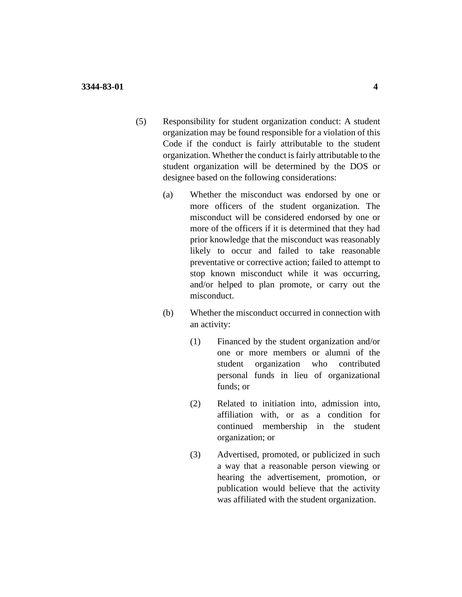- (5) Responsibility for student organization conduct: A student organization may be found responsible for a violation of this Code if the conduct is fairly attributable to the student organization. Whether the conduct is fairly attributable to the student organization will be determined by the DOS or designee based on the following considerations:
	- (a) Whether the misconduct was endorsed by one or more officers of the student organization. The misconduct will be considered endorsed by one or more of the officers if it is determined that they had prior knowledge that the misconduct was reasonably likely to occur and failed to take reasonable preventative or corrective action; failed to attempt to stop known misconduct while it was occurring, and/or helped to plan promote, or carry out the misconduct.
	- (b) Whether the misconduct occurred in connection with an activity:
		- (1) Financed by the student organization and/or one or more members or alumni of the student organization who contributed personal funds in lieu of organizational funds; or
		- (2) Related to initiation into, admission into, affiliation with, or as a condition for continued membership in the student organization; or
		- (3) Advertised, promoted, or publicized in such a way that a reasonable person viewing or hearing the advertisement, promotion, or publication would believe that the activity was affiliated with the student organization.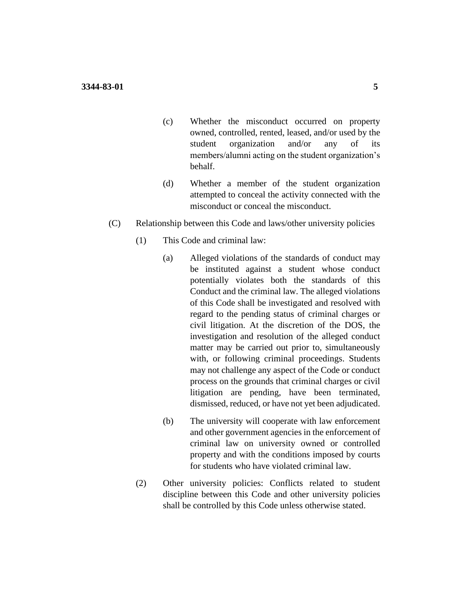- (c) Whether the misconduct occurred on property owned, controlled, rented, leased, and/or used by the student organization and/or any of its members/alumni acting on the student organization's behalf.
- (d) Whether a member of the student organization attempted to conceal the activity connected with the misconduct or conceal the misconduct.
- (C) Relationship between this Code and laws/other university policies
	- (1) This Code and criminal law:
		- (a) Alleged violations of the standards of conduct may be instituted against a student whose conduct potentially violates both the standards of this Conduct and the criminal law. The alleged violations of this Code shall be investigated and resolved with regard to the pending status of criminal charges or civil litigation. At the discretion of the DOS, the investigation and resolution of the alleged conduct matter may be carried out prior to, simultaneously with, or following criminal proceedings. Students may not challenge any aspect of the Code or conduct process on the grounds that criminal charges or civil litigation are pending, have been terminated, dismissed, reduced, or have not yet been adjudicated.
		- (b) The university will cooperate with law enforcement and other government agencies in the enforcement of criminal law on university owned or controlled property and with the conditions imposed by courts for students who have violated criminal law.
	- (2) Other university policies: Conflicts related to student discipline between this Code and other university policies shall be controlled by this Code unless otherwise stated.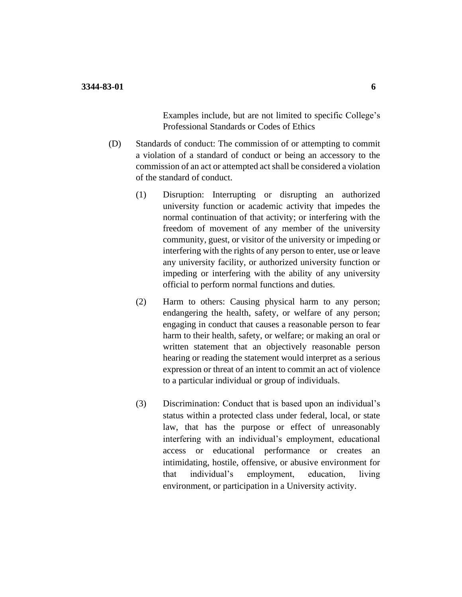Examples include, but are not limited to specific College's Professional Standards or Codes of Ethics

- (D) Standards of conduct: The commission of or attempting to commit a violation of a standard of conduct or being an accessory to the commission of an act or attempted act shall be considered a violation of the standard of conduct.
	- (1) Disruption: Interrupting or disrupting an authorized university function or academic activity that impedes the normal continuation of that activity; or interfering with the freedom of movement of any member of the university community, guest, or visitor of the university or impeding or interfering with the rights of any person to enter, use or leave any university facility, or authorized university function or impeding or interfering with the ability of any university official to perform normal functions and duties.
	- (2) Harm to others: Causing physical harm to any person; endangering the health, safety, or welfare of any person; engaging in conduct that causes a reasonable person to fear harm to their health, safety, or welfare; or making an oral or written statement that an objectively reasonable person hearing or reading the statement would interpret as a serious expression or threat of an intent to commit an act of violence to a particular individual or group of individuals.
	- (3) Discrimination: Conduct that is based upon an individual's status within a protected class under federal, local, or state law, that has the purpose or effect of unreasonably interfering with an individual's employment, educational access or educational performance or creates an intimidating, hostile, offensive, or abusive environment for that individual's employment, education, living environment, or participation in a University activity.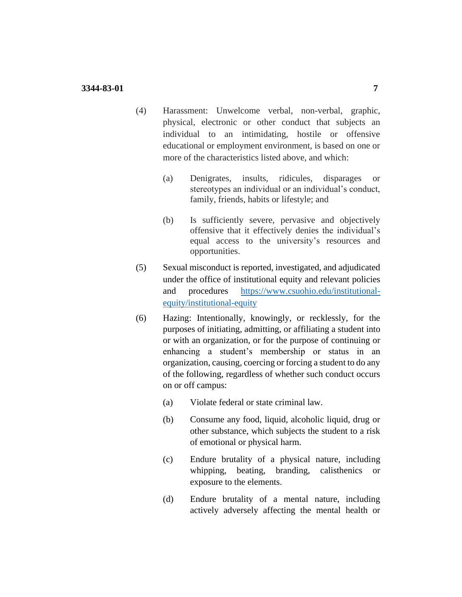## **3344-83-01 7**

- (4) Harassment: Unwelcome verbal, non-verbal, graphic, physical, electronic or other conduct that subjects an individual to an intimidating, hostile or offensive educational or employment environment, is based on one or more of the characteristics listed above, and which:
	- (a) Denigrates, insults, ridicules, disparages or stereotypes an individual or an individual's conduct, family, friends, habits or lifestyle; and
	- (b) Is sufficiently severe, pervasive and objectively offensive that it effectively denies the individual's equal access to the university's resources and opportunities.
- (5) Sexual misconduct is reported, investigated, and adjudicated under the office of institutional equity and relevant policies and procedures [https://www.csuohio.edu/institutional](https://www.csuohio.edu/institutional-equity/institutional-equity)[equity/institutional-equity](https://www.csuohio.edu/institutional-equity/institutional-equity)
- (6) Hazing: Intentionally, knowingly, or recklessly, for the purposes of initiating, admitting, or affiliating a student into or with an organization, or for the purpose of continuing or enhancing a student's membership or status in an organization, causing, coercing or forcing a student to do any of the following, regardless of whether such conduct occurs on or off campus:
	- (a) Violate federal or state criminal law.
	- (b) Consume any food, liquid, alcoholic liquid, drug or other substance, which subjects the student to a risk of emotional or physical harm.
	- (c) Endure brutality of a physical nature, including whipping, beating, branding, calisthenics or exposure to the elements.
	- (d) Endure brutality of a mental nature, including actively adversely affecting the mental health or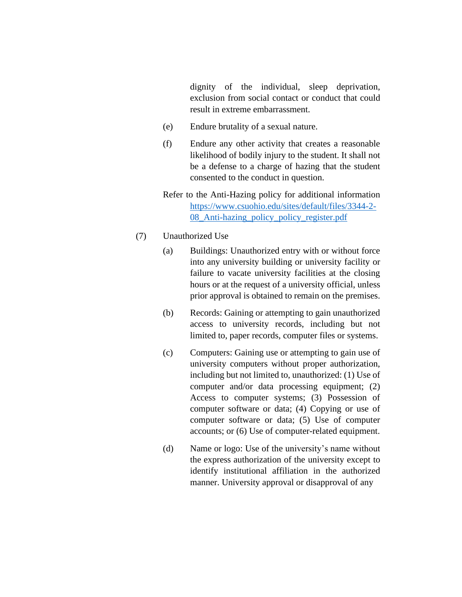dignity of the individual, sleep deprivation, exclusion from social contact or conduct that could result in extreme embarrassment.

- (e) Endure brutality of a sexual nature.
- (f) Endure any other activity that creates a reasonable likelihood of bodily injury to the student. It shall not be a defense to a charge of hazing that the student consented to the conduct in question.
- Refer to the Anti-Hazing policy for additional information [https://www.csuohio.edu/sites/default/files/3344-2-](https://www.csuohio.edu/sites/default/files/3344-2-08_Anti-hazing_policy_policy_register.pdf) [08\\_Anti-hazing\\_policy\\_policy\\_register.pdf](https://www.csuohio.edu/sites/default/files/3344-2-08_Anti-hazing_policy_policy_register.pdf)
- (7) Unauthorized Use
	- (a) Buildings: Unauthorized entry with or without force into any university building or university facility or failure to vacate university facilities at the closing hours or at the request of a university official, unless prior approval is obtained to remain on the premises.
	- (b) Records: Gaining or attempting to gain unauthorized access to university records, including but not limited to, paper records, computer files or systems.
	- (c) Computers: Gaining use or attempting to gain use of university computers without proper authorization, including but not limited to, unauthorized: (1) Use of computer and/or data processing equipment; (2) Access to computer systems; (3) Possession of computer software or data; (4) Copying or use of computer software or data; (5) Use of computer accounts; or (6) Use of computer-related equipment.
	- (d) Name or logo: Use of the university's name without the express authorization of the university except to identify institutional affiliation in the authorized manner. University approval or disapproval of any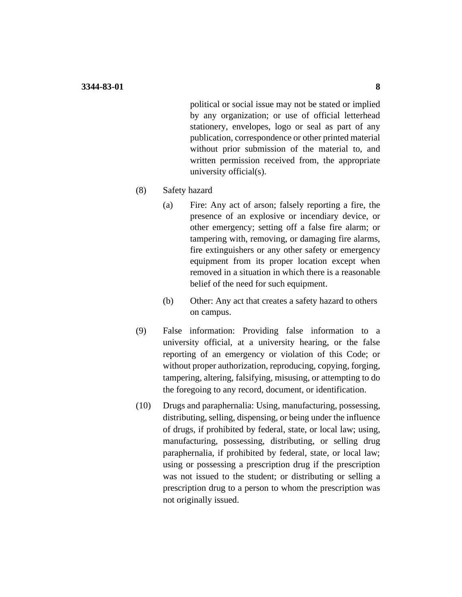political or social issue may not be stated or implied by any organization; or use of official letterhead stationery, envelopes, logo or seal as part of any publication, correspondence or other printed material without prior submission of the material to, and written permission received from, the appropriate university official(s).

- (8) Safety hazard
	- (a) Fire: Any act of arson; falsely reporting a fire, the presence of an explosive or incendiary device, or other emergency; setting off a false fire alarm; or tampering with, removing, or damaging fire alarms, fire extinguishers or any other safety or emergency equipment from its proper location except when removed in a situation in which there is a reasonable belief of the need for such equipment.
	- (b) Other: Any act that creates a safety hazard to others on campus.
- (9) False information: Providing false information to a university official, at a university hearing, or the false reporting of an emergency or violation of this Code; or without proper authorization, reproducing, copying, forging, tampering, altering, falsifying, misusing, or attempting to do the foregoing to any record, document, or identification.
- (10) Drugs and paraphernalia: Using, manufacturing, possessing, distributing, selling, dispensing, or being under the influence of drugs, if prohibited by federal, state, or local law; using, manufacturing, possessing, distributing, or selling drug paraphernalia, if prohibited by federal, state, or local law; using or possessing a prescription drug if the prescription was not issued to the student; or distributing or selling a prescription drug to a person to whom the prescription was not originally issued.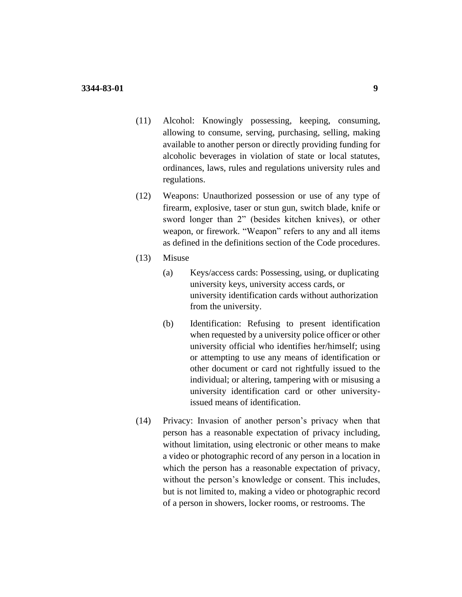- (11) Alcohol: Knowingly possessing, keeping, consuming, allowing to consume, serving, purchasing, selling, making available to another person or directly providing funding for alcoholic beverages in violation of state or local statutes, ordinances, laws, rules and regulations university rules and regulations.
- (12) Weapons: Unauthorized possession or use of any type of firearm, explosive, taser or stun gun, switch blade, knife or sword longer than 2" (besides kitchen knives), or other weapon, or firework. "Weapon" refers to any and all items as defined in the definitions section of the Code procedures.
- (13) Misuse
	- (a) Keys/access cards: Possessing, using, or duplicating university keys, university access cards, or university identification cards without authorization from the university.
	- (b) Identification: Refusing to present identification when requested by a university police officer or other university official who identifies her/himself; using or attempting to use any means of identification or other document or card not rightfully issued to the individual; or altering, tampering with or misusing a university identification card or other universityissued means of identification.
- (14) Privacy: Invasion of another person's privacy when that person has a reasonable expectation of privacy including, without limitation, using electronic or other means to make a video or photographic record of any person in a location in which the person has a reasonable expectation of privacy, without the person's knowledge or consent. This includes, but is not limited to, making a video or photographic record of a person in showers, locker rooms, or restrooms. The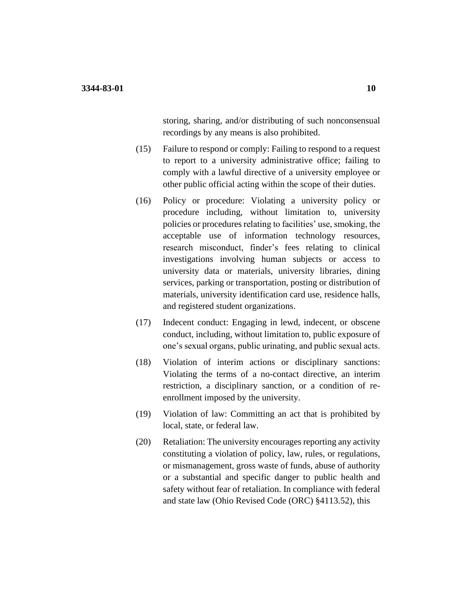storing, sharing, and/or distributing of such nonconsensual recordings by any means is also prohibited.

- (15) Failure to respond or comply: Failing to respond to a request to report to a university administrative office; failing to comply with a lawful directive of a university employee or other public official acting within the scope of their duties.
- (16) Policy or procedure: Violating a university policy or procedure including, without limitation to, university policies or procedures relating to facilities' use, smoking, the acceptable use of information technology resources, research misconduct, finder's fees relating to clinical investigations involving human subjects or access to university data or materials, university libraries, dining services, parking or transportation, posting or distribution of materials, university identification card use, residence halls, and registered student organizations.
- (17) Indecent conduct: Engaging in lewd, indecent, or obscene conduct, including, without limitation to, public exposure of one's sexual organs, public urinating, and public sexual acts.
- (18) Violation of interim actions or disciplinary sanctions: Violating the terms of a no-contact directive, an interim restriction, a disciplinary sanction, or a condition of reenrollment imposed by the university.
- (19) Violation of law: Committing an act that is prohibited by local, state, or federal law.
- (20) Retaliation: The university encourages reporting any activity constituting a violation of policy, law, rules, or regulations, or mismanagement, gross waste of funds, abuse of authority or a substantial and specific danger to public health and safety without fear of retaliation. In compliance with federal and state law (Ohio Revised Code (ORC) §4113.52), this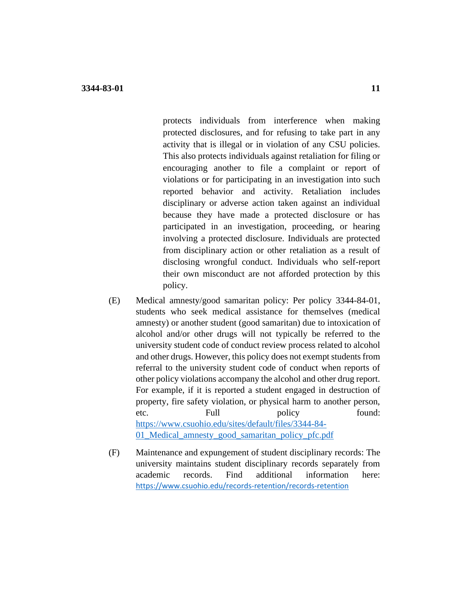protects individuals from interference when making protected disclosures, and for refusing to take part in any activity that is illegal or in violation of any CSU policies. This also protects individuals against retaliation for filing or encouraging another to file a complaint or report of violations or for participating in an investigation into such reported behavior and activity. Retaliation includes disciplinary or adverse action taken against an individual because they have made a protected disclosure or has participated in an investigation, proceeding, or hearing involving a protected disclosure. Individuals are protected from disciplinary action or other retaliation as a result of disclosing wrongful conduct. Individuals who self-report their own misconduct are not afforded protection by this policy.

- (E) Medical amnesty/good samaritan policy: Per policy 3344-84-01, students who seek medical assistance for themselves (medical amnesty) or another student (good samaritan) due to intoxication of alcohol and/or other drugs will not typically be referred to the university student code of conduct review process related to alcohol and other drugs. However, this policy does not exempt students from referral to the university student code of conduct when reports of other policy violations accompany the alcohol and other drug report. For example, if it is reported a student engaged in destruction of property, fire safety violation, or physical harm to another person, etc. Full policy found: [https://www.csuohio.edu/sites/default/files/3344-84-](https://www.csuohio.edu/sites/default/files/3344-84-01_Medical_amnesty_good_samaritan_policy_pfc.pdf) [01\\_Medical\\_amnesty\\_good\\_samaritan\\_policy\\_pfc.pdf](https://www.csuohio.edu/sites/default/files/3344-84-01_Medical_amnesty_good_samaritan_policy_pfc.pdf)
- (F) Maintenance and expungement of student disciplinary records: The university maintains student disciplinary records separately from academic records. Find additional information here: <https://www.csuohio.edu/records-retention/records-retention>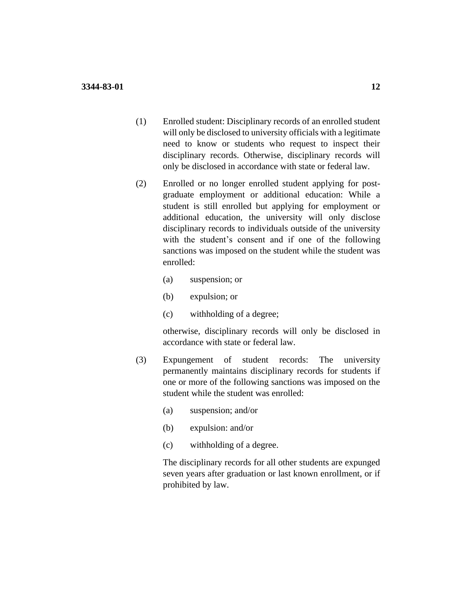- (1) Enrolled student: Disciplinary records of an enrolled student will only be disclosed to university officials with a legitimate need to know or students who request to inspect their disciplinary records. Otherwise, disciplinary records will only be disclosed in accordance with state or federal law.
- (2) Enrolled or no longer enrolled student applying for postgraduate employment or additional education: While a student is still enrolled but applying for employment or additional education, the university will only disclose disciplinary records to individuals outside of the university with the student's consent and if one of the following sanctions was imposed on the student while the student was enrolled:
	- (a) suspension; or
	- (b) expulsion; or
	- (c) withholding of a degree;

otherwise, disciplinary records will only be disclosed in accordance with state or federal law.

- (3) Expungement of student records: The university permanently maintains disciplinary records for students if one or more of the following sanctions was imposed on the student while the student was enrolled:
	- (a) suspension; and/or
	- (b) expulsion: and/or
	- (c) withholding of a degree.

The disciplinary records for all other students are expunged seven years after graduation or last known enrollment, or if prohibited by law.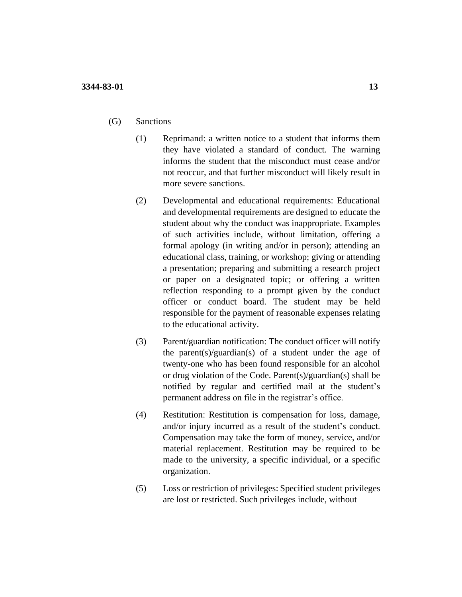- (G) Sanctions
	- (1) Reprimand: a written notice to a student that informs them they have violated a standard of conduct. The warning informs the student that the misconduct must cease and/or not reoccur, and that further misconduct will likely result in more severe sanctions.
	- (2) Developmental and educational requirements: Educational and developmental requirements are designed to educate the student about why the conduct was inappropriate. Examples of such activities include, without limitation, offering a formal apology (in writing and/or in person); attending an educational class, training, or workshop; giving or attending a presentation; preparing and submitting a research project or paper on a designated topic; or offering a written reflection responding to a prompt given by the conduct officer or conduct board. The student may be held responsible for the payment of reasonable expenses relating to the educational activity.
	- (3) Parent/guardian notification: The conduct officer will notify the parent(s)/guardian(s) of a student under the age of twenty-one who has been found responsible for an alcohol or drug violation of the Code. Parent(s)/guardian(s) shall be notified by regular and certified mail at the student's permanent address on file in the registrar's office.
	- (4) Restitution: Restitution is compensation for loss, damage, and/or injury incurred as a result of the student's conduct. Compensation may take the form of money, service, and/or material replacement. Restitution may be required to be made to the university, a specific individual, or a specific organization.
	- (5) Loss or restriction of privileges: Specified student privileges are lost or restricted. Such privileges include, without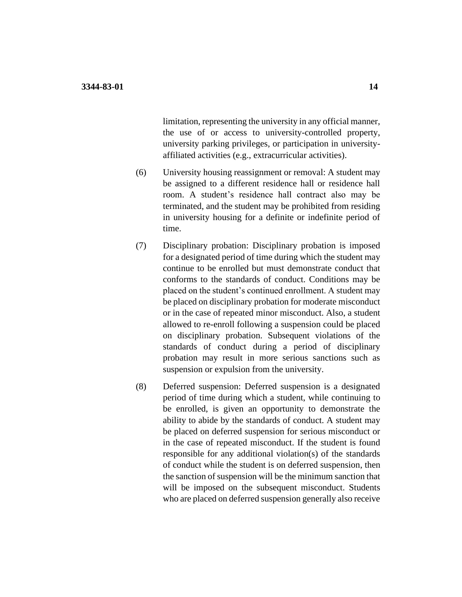limitation, representing the university in any official manner, the use of or access to university-controlled property, university parking privileges, or participation in universityaffiliated activities (e.g., extracurricular activities).

- (6) University housing reassignment or removal: A student may be assigned to a different residence hall or residence hall room. A student's residence hall contract also may be terminated, and the student may be prohibited from residing in university housing for a definite or indefinite period of time.
- (7) Disciplinary probation: Disciplinary probation is imposed for a designated period of time during which the student may continue to be enrolled but must demonstrate conduct that conforms to the standards of conduct. Conditions may be placed on the student's continued enrollment. A student may be placed on disciplinary probation for moderate misconduct or in the case of repeated minor misconduct. Also, a student allowed to re-enroll following a suspension could be placed on disciplinary probation. Subsequent violations of the standards of conduct during a period of disciplinary probation may result in more serious sanctions such as suspension or expulsion from the university.
- (8) Deferred suspension: Deferred suspension is a designated period of time during which a student, while continuing to be enrolled, is given an opportunity to demonstrate the ability to abide by the standards of conduct. A student may be placed on deferred suspension for serious misconduct or in the case of repeated misconduct. If the student is found responsible for any additional violation(s) of the standards of conduct while the student is on deferred suspension, then the sanction of suspension will be the minimum sanction that will be imposed on the subsequent misconduct. Students who are placed on deferred suspension generally also receive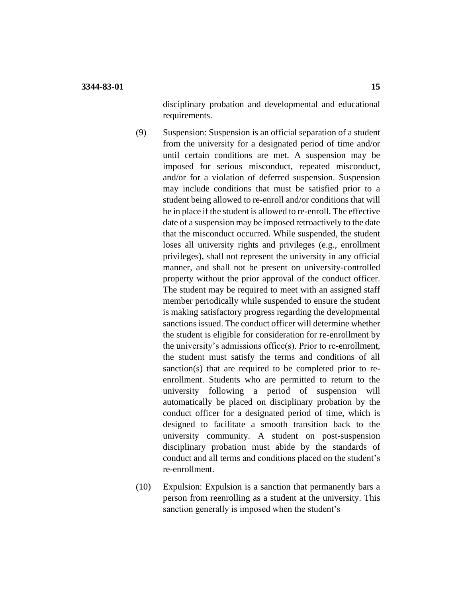disciplinary probation and developmental and educational requirements.

- (9) Suspension: Suspension is an official separation of a student from the university for a designated period of time and/or until certain conditions are met. A suspension may be imposed for serious misconduct, repeated misconduct, and/or for a violation of deferred suspension. Suspension may include conditions that must be satisfied prior to a student being allowed to re-enroll and/or conditions that will be in place if the student is allowed to re-enroll. The effective date of a suspension may be imposed retroactively to the date that the misconduct occurred. While suspended, the student loses all university rights and privileges (e.g., enrollment privileges), shall not represent the university in any official manner, and shall not be present on university-controlled property without the prior approval of the conduct officer. The student may be required to meet with an assigned staff member periodically while suspended to ensure the student is making satisfactory progress regarding the developmental sanctions issued. The conduct officer will determine whether the student is eligible for consideration for re-enrollment by the university's admissions office(s). Prior to re-enrollment, the student must satisfy the terms and conditions of all sanction(s) that are required to be completed prior to reenrollment. Students who are permitted to return to the university following a period of suspension will automatically be placed on disciplinary probation by the conduct officer for a designated period of time, which is designed to facilitate a smooth transition back to the university community. A student on post-suspension disciplinary probation must abide by the standards of conduct and all terms and conditions placed on the student's re-enrollment.
- (10) Expulsion: Expulsion is a sanction that permanently bars a person from reenrolling as a student at the university. This sanction generally is imposed when the student's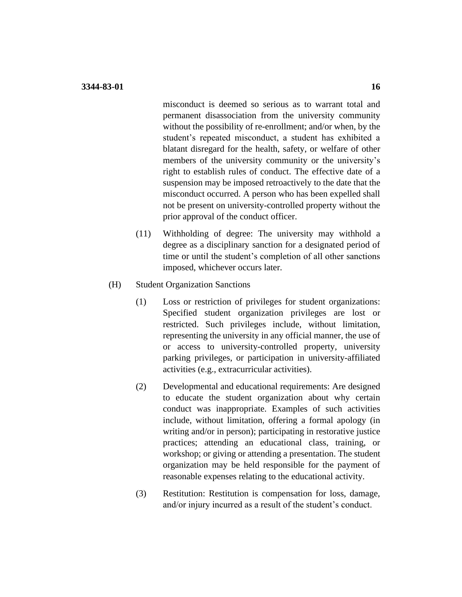misconduct is deemed so serious as to warrant total and permanent disassociation from the university community without the possibility of re-enrollment; and/or when, by the student's repeated misconduct, a student has exhibited a blatant disregard for the health, safety, or welfare of other members of the university community or the university's right to establish rules of conduct. The effective date of a suspension may be imposed retroactively to the date that the misconduct occurred. A person who has been expelled shall not be present on university-controlled property without the prior approval of the conduct officer.

- (11) Withholding of degree: The university may withhold a degree as a disciplinary sanction for a designated period of time or until the student's completion of all other sanctions imposed, whichever occurs later.
- (H) Student Organization Sanctions
	- (1) Loss or restriction of privileges for student organizations: Specified student organization privileges are lost or restricted. Such privileges include, without limitation, representing the university in any official manner, the use of or access to university-controlled property, university parking privileges, or participation in university-affiliated activities (e.g., extracurricular activities).
	- (2) Developmental and educational requirements: Are designed to educate the student organization about why certain conduct was inappropriate. Examples of such activities include, without limitation, offering a formal apology (in writing and/or in person); participating in restorative justice practices; attending an educational class, training, or workshop; or giving or attending a presentation. The student organization may be held responsible for the payment of reasonable expenses relating to the educational activity.
	- (3) Restitution: Restitution is compensation for loss, damage, and/or injury incurred as a result of the student's conduct.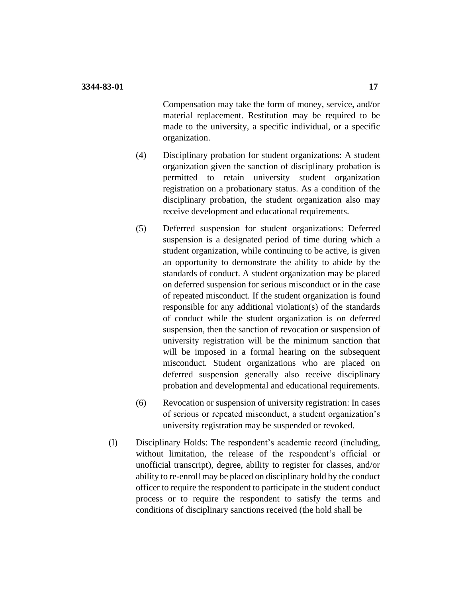Compensation may take the form of money, service, and/or material replacement. Restitution may be required to be made to the university, a specific individual, or a specific organization.

- (4) Disciplinary probation for student organizations: A student organization given the sanction of disciplinary probation is permitted to retain university student organization registration on a probationary status. As a condition of the disciplinary probation, the student organization also may receive development and educational requirements.
- (5) Deferred suspension for student organizations: Deferred suspension is a designated period of time during which a student organization, while continuing to be active, is given an opportunity to demonstrate the ability to abide by the standards of conduct. A student organization may be placed on deferred suspension for serious misconduct or in the case of repeated misconduct. If the student organization is found responsible for any additional violation(s) of the standards of conduct while the student organization is on deferred suspension, then the sanction of revocation or suspension of university registration will be the minimum sanction that will be imposed in a formal hearing on the subsequent misconduct. Student organizations who are placed on deferred suspension generally also receive disciplinary probation and developmental and educational requirements.
- (6) Revocation or suspension of university registration: In cases of serious or repeated misconduct, a student organization's university registration may be suspended or revoked.
- (I) Disciplinary Holds: The respondent's academic record (including, without limitation, the release of the respondent's official or unofficial transcript), degree, ability to register for classes, and/or ability to re-enroll may be placed on disciplinary hold by the conduct officer to require the respondent to participate in the student conduct process or to require the respondent to satisfy the terms and conditions of disciplinary sanctions received (the hold shall be